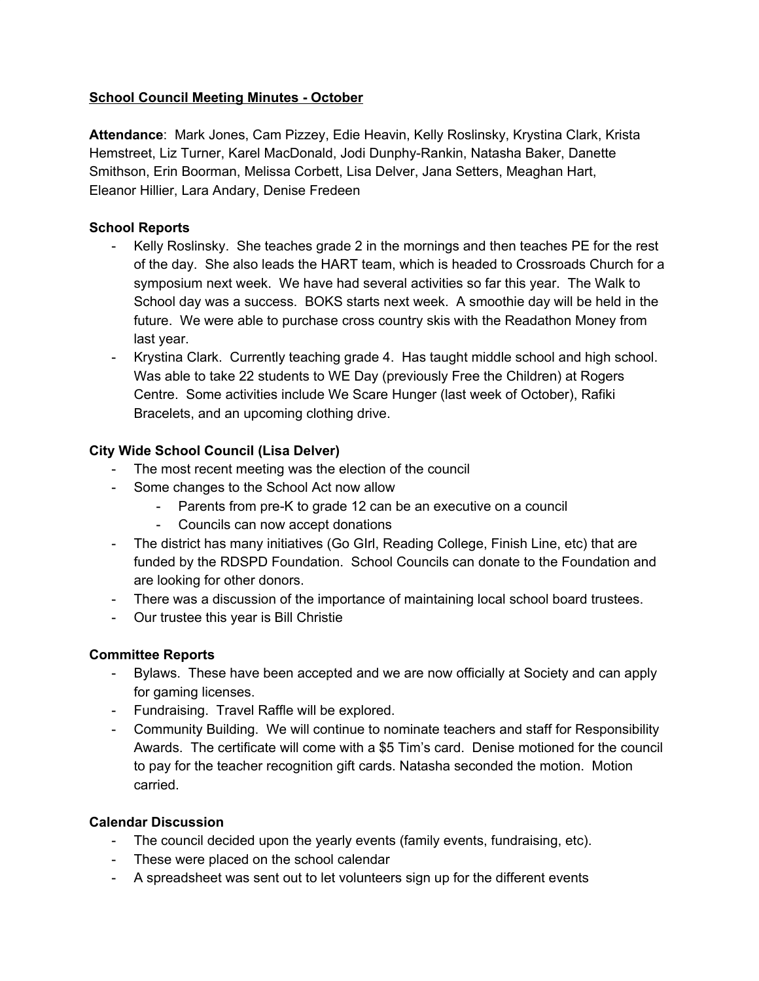## **School Council Meeting Minutes - October**

**Attendance**: Mark Jones, Cam Pizzey, Edie Heavin, Kelly Roslinsky, Krystina Clark, Krista Hemstreet, Liz Turner, Karel MacDonald, Jodi Dunphy-Rankin, Natasha Baker, Danette Smithson, Erin Boorman, Melissa Corbett, Lisa Delver, Jana Setters, Meaghan Hart, Eleanor Hillier, Lara Andary, Denise Fredeen

## **School Reports**

- Kelly Roslinsky. She teaches grade 2 in the mornings and then teaches PE for the rest of the day. She also leads the HART team, which is headed to Crossroads Church for a symposium next week. We have had several activities so far this year. The Walk to School day was a success. BOKS starts next week. A smoothie day will be held in the future. We were able to purchase cross country skis with the Readathon Money from last year.
- Krystina Clark. Currently teaching grade 4. Has taught middle school and high school. Was able to take 22 students to WE Day (previously Free the Children) at Rogers Centre. Some activities include We Scare Hunger (last week of October), Rafiki Bracelets, and an upcoming clothing drive.

# **City Wide School Council (Lisa Delver)**

- The most recent meeting was the election of the council
- Some changes to the School Act now allow
	- Parents from pre-K to grade 12 can be an executive on a council
	- Councils can now accept donations
- The district has many initiatives (Go GIrl, Reading College, Finish Line, etc) that are funded by the RDSPD Foundation. School Councils can donate to the Foundation and are looking for other donors.
- There was a discussion of the importance of maintaining local school board trustees.
- Our trustee this year is Bill Christie

#### **Committee Reports**

- Bylaws. These have been accepted and we are now officially at Society and can apply for gaming licenses.
- Fundraising. Travel Raffle will be explored.
- Community Building. We will continue to nominate teachers and staff for Responsibility Awards. The certificate will come with a \$5 Tim's card. Denise motioned for the council to pay for the teacher recognition gift cards. Natasha seconded the motion. Motion carried.

#### **Calendar Discussion**

- The council decided upon the yearly events (family events, fundraising, etc).
- These were placed on the school calendar
- A spreadsheet was sent out to let volunteers sign up for the different events